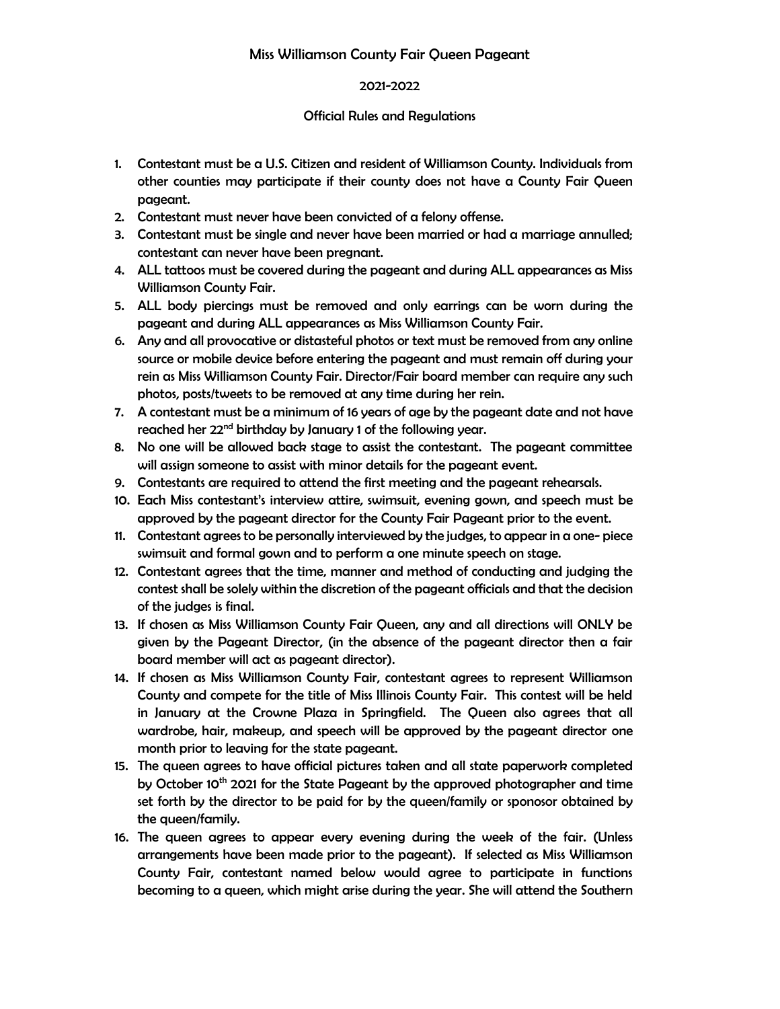# 2021-2022

### Official Rules and Regulations

- 1. Contestant must be a U.S. Citizen and resident of Williamson County. Individuals from other counties may participate if their county does not have a County Fair Queen pageant.
- 2. Contestant must never have been convicted of a felony offense.
- 3. Contestant must be single and never have been married or had a marriage annulled; contestant can never have been pregnant.
- 4. ALL tattoos must be covered during the pageant and during ALL appearances as Miss Williamson County Fair.
- 5. ALL body piercings must be removed and only earrings can be worn during the pageant and during ALL appearances as Miss Williamson County Fair.
- 6. Any and all provocative or distasteful photos or text must be removed from any online source or mobile device before entering the pageant and must remain off during your rein as Miss Williamson County Fair. Director/Fair board member can require any such photos, posts/tweets to be removed at any time during her rein.
- 7. A contestant must be a minimum of 16 years of age by the pageant date and not have reached her 22<sup>nd</sup> birthday by January 1 of the following year.
- 8. No one will be allowed back stage to assist the contestant. The pageant committee will assign someone to assist with minor details for the pageant event.
- 9. Contestants are required to attend the first meeting and the pageant rehearsals.
- 10. Each Miss contestant's interview attire, swimsuit, evening gown, and speech must be approved by the pageant director for the County Fair Pageant prior to the event.
- 11. Contestant agrees to be personally interviewed by the judges, to appear in a one- piece swimsuit and formal gown and to perform a one minute speech on stage.
- 12. Contestant agrees that the time, manner and method of conducting and judging the contest shall be solely within the discretion of the pageant officials and that the decision of the judges is final.
- 13. If chosen as Miss Williamson County Fair Queen, any and all directions will ONLY be given by the Pageant Director, (in the absence of the pageant director then a fair board member will act as pageant director).
- 14. If chosen as Miss Williamson County Fair, contestant agrees to represent Williamson County and compete for the title of Miss Illinois County Fair. This contest will be held in January at the Crowne Plaza in Springfield. The Queen also agrees that all wardrobe, hair, makeup, and speech will be approved by the pageant director one month prior to leaving for the state pageant.
- 15. The queen agrees to have official pictures taken and all state paperwork completed by October 10<sup>th</sup> 2021 for the State Pageant by the approved photographer and time set forth by the director to be paid for by the queen/family or sponosor obtained by the queen/family.
- 16. The queen agrees to appear every evening during the week of the fair. (Unless arrangements have been made prior to the pageant). If selected as Miss Williamson County Fair, contestant named below would agree to participate in functions becoming to a queen, which might arise during the year. She will attend the Southern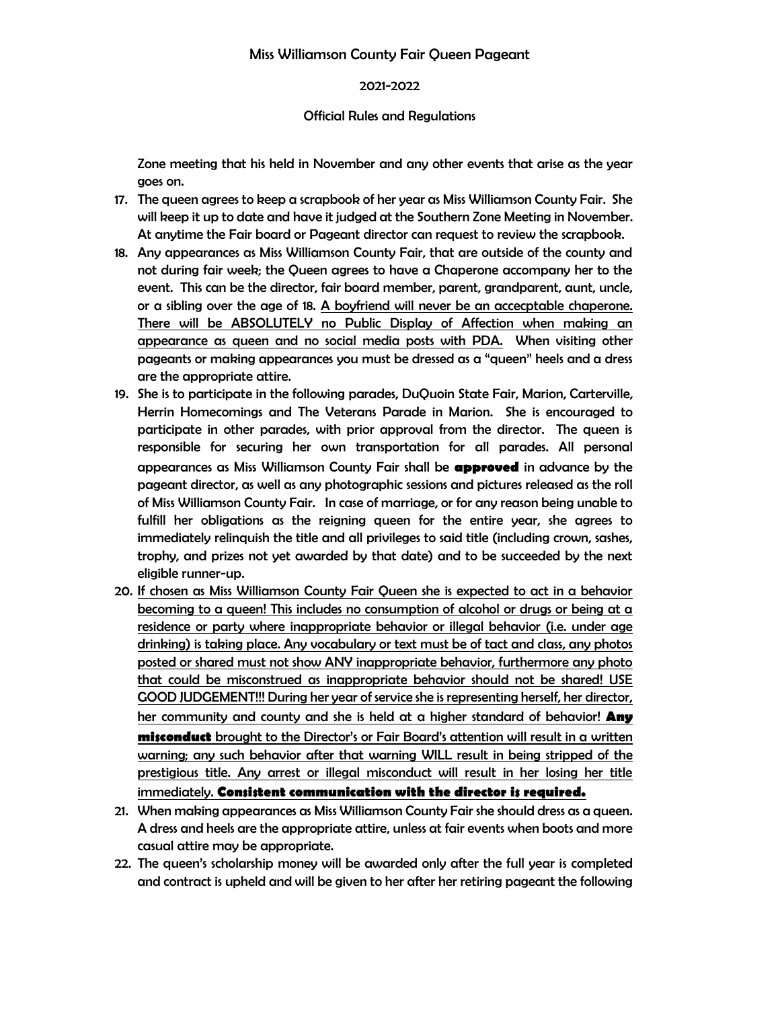#### Miss Williamson County Fair Queen Pageant

### 2021-2022

#### Official Rules and Regulations

Zone meeting that his held in November and any other events that arise as the year goes on.

- 17. The queen agrees to keep a scrapbook of her year as Miss Williamson County Fair. She will keep it up to date and have it judged at the Southern Zone Meeting in November. At anytime the Fair board or Pageant director can request to review the scrapbook.
- 18. Any appearances as Miss Williamson County Fair, that are outside of the county and not during fair week; the Queen agrees to have a Chaperone accompany her to the event. This can be the director, fair board member, parent, grandparent, aunt, uncle, or a sibling over the age of 18. A boyfriend will never be an accecptable chaperone. There will be ABSOLUTELY no Public Display of Affection when making an appearance as queen and no social media posts with PDA. When visiting other pageants or making appearances you must be dressed as a "queen" heels and a dress are the appropriate attire.
- 19. She is to participate in the following parades, DuQuoin State Fair, Marion, Carterville, Herrin Homecomings and The Veterans Parade in Marion. She is encouraged to participate in other parades, with prior approval from the director. The queen is responsible for securing her own transportation for all parades. All personal appearances as Miss Williamson County Fair shall be **approved** in advance by the pageant director, as well as any photographic sessions and pictures released as the roll of Miss Williamson County Fair. In case of marriage, or for any reason being unable to fulfill her obligations as the reigning queen for the entire year, she agrees to immediately relinquish the title and all privileges to said title (including crown, sashes, trophy, and prizes not yet awarded by that date) and to be succeeded by the next eligible runner-up.
- 20. If chosen as Miss Williamson County Fair Queen she is expected to act in a behavior becoming to a queen! This includes no consumption of alcohol or drugs or being at a residence or party where inappropriate behavior or illegal behavior (i.e. under age drinking) is taking place. Any vocabulary or text must be of tact and class, any photos posted or shared must not show ANY inappropriate behavior, furthermore any photo that could be misconstrued as inappropriate behavior should not be shared! USE GOOD JUDGEMENT!!! During her year of service she is representing herself, her director, her community and county and she is held at a higher standard of behavior! **Any misconduct** brought to the Director's or Fair Board's attention will result in a written warning; any such behavior after that warning WILL result in being stripped of the prestigious title. Any arrest or illegal misconduct will result in her losing her title immediately. **Consistent communication with the director is required.**
- 21. When making appearances as Miss Williamson County Fair she should dress as a queen. A dress and heels are the appropriate attire, unless at fair events when boots and more casual attire may be appropriate.
- 22. The queen's scholarship money will be awarded only after the full year is completed and contract is upheld and will be given to her after her retiring pageant the following